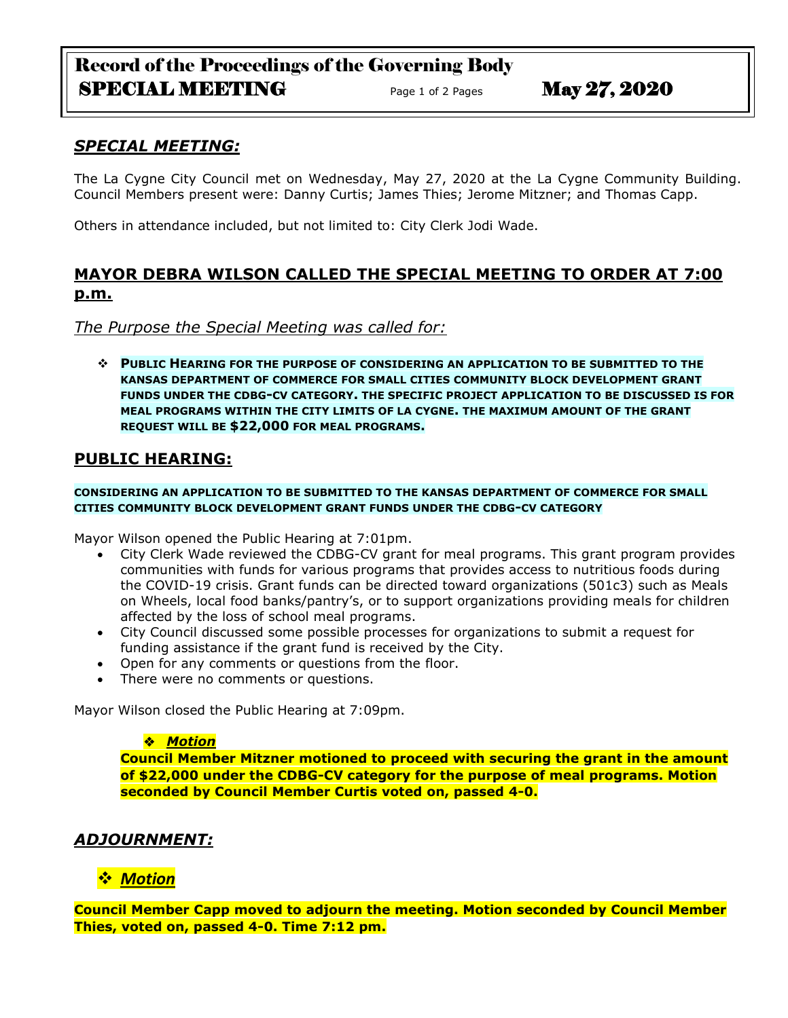# Record of the Proceedings of the Governing Body SPECIAL MEETING  $P_{\text{age 1 of 2 Pages}}$  May  $27,2020$

## *SPECIAL MEETING:*

The La Cygne City Council met on Wednesday, May 27, 2020 at the La Cygne Community Building. Council Members present were: Danny Curtis; James Thies; Jerome Mitzner; and Thomas Capp.

Others in attendance included, but not limited to: City Clerk Jodi Wade.

## **MAYOR DEBRA WILSON CALLED THE SPECIAL MEETING TO ORDER AT 7:00 p.m.**

*The Purpose the Special Meeting was called for:*

 **PUBLIC HEARING FOR THE PURPOSE OF CONSIDERING AN APPLICATION TO BE SUBMITTED TO THE KANSAS DEPARTMENT OF COMMERCE FOR SMALL CITIES COMMUNITY BLOCK DEVELOPMENT GRANT FUNDS UNDER THE CDBG-CV CATEGORY. THE SPECIFIC PROJECT APPLICATION TO BE DISCUSSED IS FOR MEAL PROGRAMS WITHIN THE CITY LIMITS OF LA CYGNE. THE MAXIMUM AMOUNT OF THE GRANT REQUEST WILL BE \$22,000 FOR MEAL PROGRAMS.**

### **PUBLIC HEARING:**

#### **CONSIDERING AN APPLICATION TO BE SUBMITTED TO THE KANSAS DEPARTMENT OF COMMERCE FOR SMALL CITIES COMMUNITY BLOCK DEVELOPMENT GRANT FUNDS UNDER THE CDBG-CV CATEGORY**

Mayor Wilson opened the Public Hearing at 7:01pm.

- City Clerk Wade reviewed the CDBG-CV grant for meal programs. This grant program provides communities with funds for various programs that provides access to nutritious foods during the COVID-19 crisis. Grant funds can be directed toward organizations (501c3) such as Meals on Wheels, local food banks/pantry's, or to support organizations providing meals for children affected by the loss of school meal programs.
- City Council discussed some possible processes for organizations to submit a request for funding assistance if the grant fund is received by the City.
- Open for any comments or questions from the floor.
- There were no comments or questions.

Mayor Wilson closed the Public Hearing at 7:09pm.

#### *Motion*

**Council Member Mitzner motioned to proceed with securing the grant in the amount of \$22,000 under the CDBG-CV category for the purpose of meal programs. Motion seconded by Council Member Curtis voted on, passed 4-0.**

### *ADJOURNMENT:*

### *Motion*

**Council Member Capp moved to adjourn the meeting. Motion seconded by Council Member Thies, voted on, passed 4-0. Time 7:12 pm.**